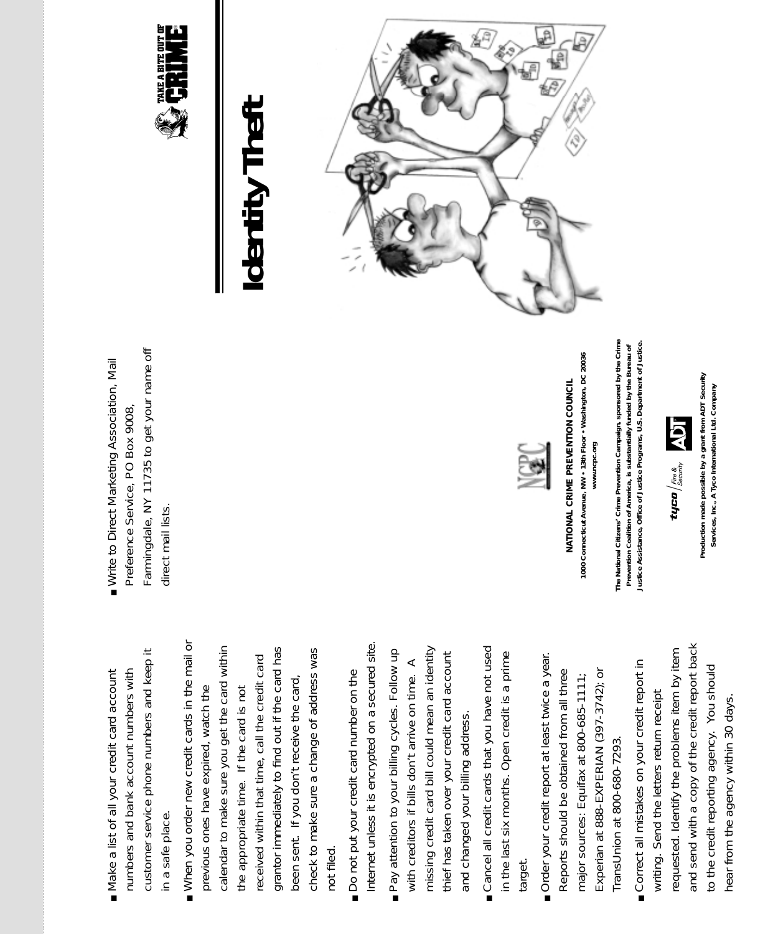- customer service phone numbers and keep it customer service phone numbers and keep it Nake a list of all your credit card account numbers and bank account numbers with numbers and bank account numbers with ■ Make a list of all your credit card account in a safe place. in a safe place.
- When you order new credit cards in the mail or When you order new credit cards in the mail or calendar to make sure you get the card within calendar to make sure you get the card within grantor immediately to find out if the card has grantor immediately to find out if the card has check to make sure a change of address was check to make sure a change of address was received within that time, call the credit card received within that time, call the credit card been sent. If you don't receive the card, been sent. If you don't receive the card, the appropriate time. If the card is not previous ones have expired, watch the previous ones have expired, watch the the appropriate time. If the card is not not filed. not filed.
- Internet unless it is encrypted on a secured site. Internet unless it is encrypted on a secured site. Do not put your credit card number on the ■ Do not put your credit card number on the
- missing credit card bill could mean an identity Pay attention to your billing cycles. Follow up missing credit card bill could mean an identity ■ Pay attention to your billing cycles. Follow up thief has taken over your credit card account thief has taken over your credit card account with creditors if bills don't arrive on time. A with creditors if bills don't arrive on time. A and changed your billing address. and changed your billing address.
- Cancel all credit cards that you have not used ■ Cancel all credit cards that you have not used in the last six months. Open credit is a prime in the last six months. Open credit is a prime target.
- Order your credit report at least twice a year. ■ Order your credit report at least twice a year. Experian at 888-EXPERIAN (397-3742); or Reports should be obtained from all three Reports should be obtained from all three Experian at 888-EXPERIAN (397-3742); or major sources: Equifax at 800-685-1111; major sources: Equifax at 800-685-1111; TransUnion at 800-680-7293. TransUnion at 800-680-7293.
- and send with a copy of the credit report back and send with a copy of the credit report back requested. Identify the problems item by item requested. Identify the problems item by item Correct all mistakes on your credit report in ■ Correct all mistakes on your credit report in to the credit reporting agency. You should to the credit reporting agency. You should writing. Send the letters return receipt writing. Send the letters return receipt hear from the agency within 30 days. hear from the agency within 30 days.

Farmingdale, NY 11735 to get your name off Farmingdale, NY 11735 to get your name off Write to Direct Marketing Association, Mail ■ Write to Direct Marketing Association, Mail Preference Service, PO Box 9008, Preference Service, PO Box 9008, direct mail lists. direct mail lists.



## *Identity Theft* dentity Thefi





**1000 Connecticut Avenue, NW • 13th Floor • Washington, DC 20036**  1000 Connecticut Avenue, NW . 13th Floor . Washington, DC 20036 NATIONAL CRIME PREVENTION COUNCIL *NATIONAL CRIME PREVENTION COUNCIL* www.ncpc.org **www.ncpc.org**

**The National Citizens' Crime Prevention Campaign, sponsored by the Crime** The National Citizens' Crime Prevention Campaign, sponsored by the Crime Prevention Coalition of America, is substantially funded by the Bureau of<br>Justice Assistance, Office of Justice Programs, U.S. Department of Justice. **Justice Assistance, Office of Justice Programs, U.S. Department of Justice. Prevention Coalition of America, is substantially funded by the Bureau of**



Production made possible by a grant from ADT Security **Production made possible by a grant from ADT Security**  Services, Inc., A Tyco International Ltd. Company **Services, Inc., A Tyco International Ltd. Company**